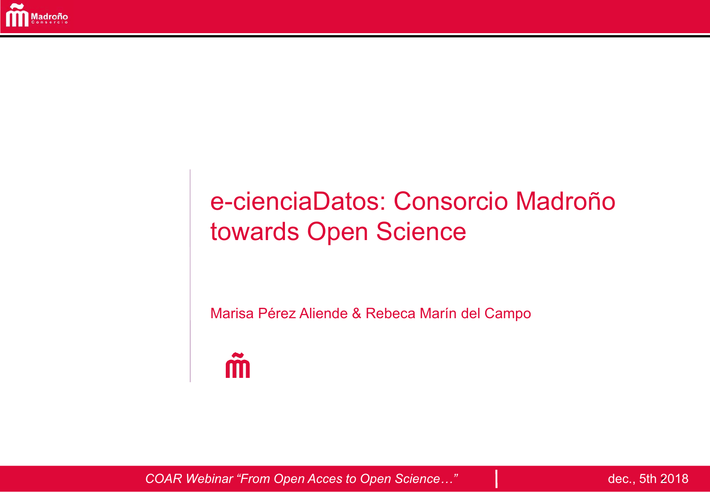

# e-cienciaDatos: Consorcio Madroño towards Open Science

Marisa Pérez Aliende & Rebeca Marín del Campo



COAR Webinar "From Open Acces to Open Science..."

dec., 5th 2018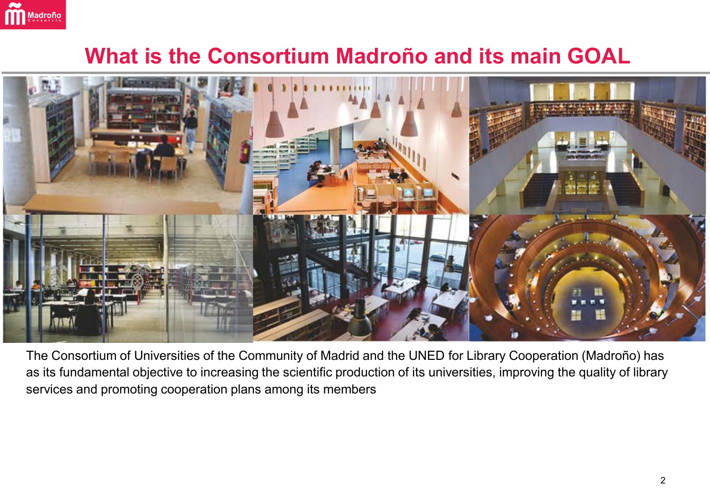

#### **What is the Consortium Madroño and its main GOAL**



The Consortium of Universities of the Community of Madrid and the UNED for Library Cooperation (Madroño) has as its fundamental objective to increasing the scientific production of its universities, improving the quality of library services and promoting cooperation plans among its members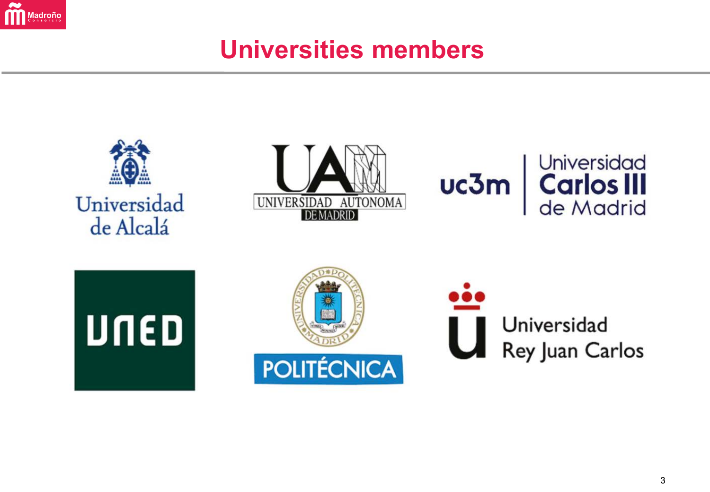

## **Universities members**

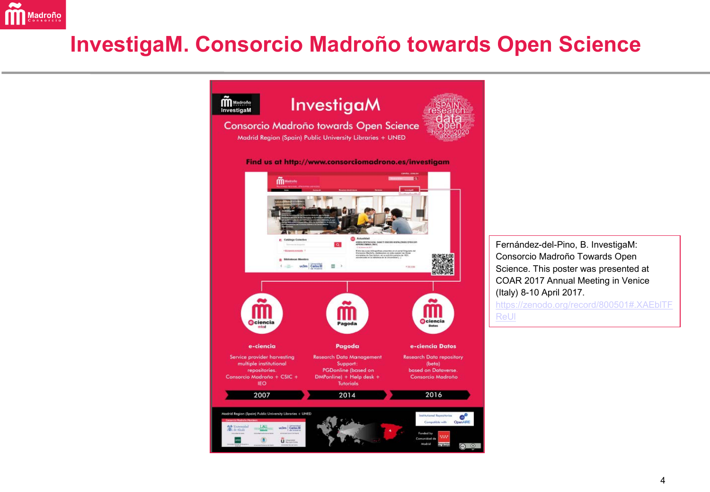

#### **InvestigaM. Consorcio Madroño towards Open Science**



Fernández-del-Pino, B. InvestigaM: Consorcio Madroño Towards Open Science. This poster was presented at COAR 2017 Annual Meeting in Venice (Italy) 8-10 April 2017.

[https://zenodo.org/record/800501#.XAEblTF](https://zenodo.org/record/800501.XAEblTFReUl)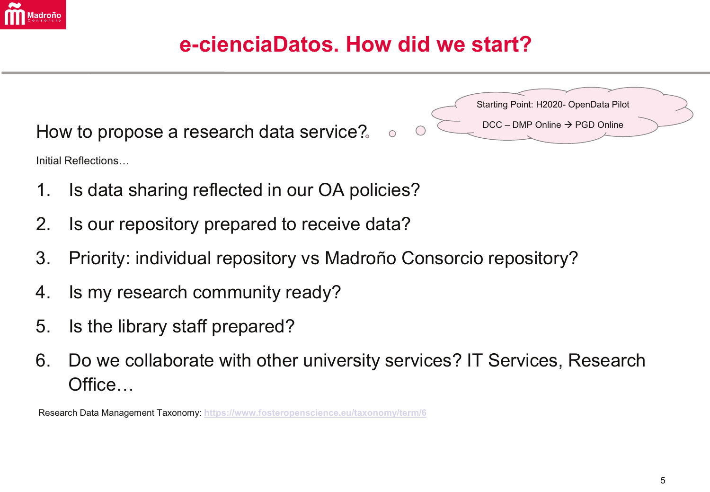

#### e-cienciaDatos. How did we start?

 $\bigcirc$ 

How to propose a research data service? Initial Reflections...

Starting Point: H2020- OpenData Pilot  $DCC - DMP$  Online  $\rightarrow$  PGD Online

- Is data sharing reflected in our OA policies? 1.
- Is our repository prepared to receive data? 2.
- $3.$ Priority: individual repository vs Madroño Consorcio repository?
- Is my research community ready? 4.
- Is the library staff prepared? 5.
- Do we collaborate with other university services? IT Services, Research 6. Office...

Research Data Management Taxonomy: https://www.fosteropenscience.eu/taxonomy/term/6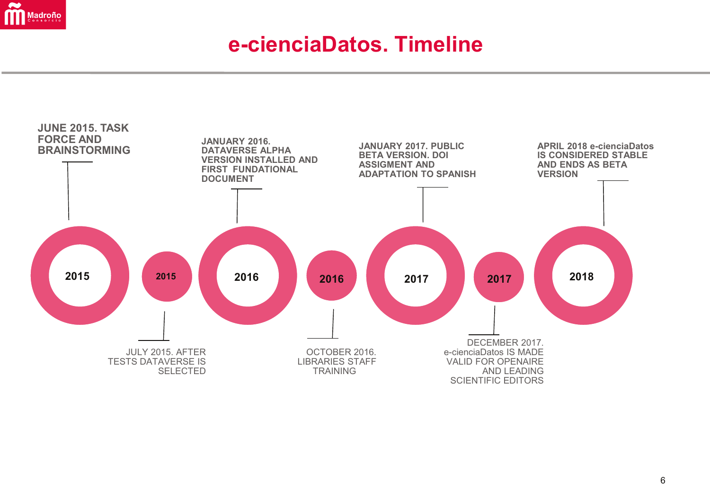

#### **e-cienciaDatos. Timeline**

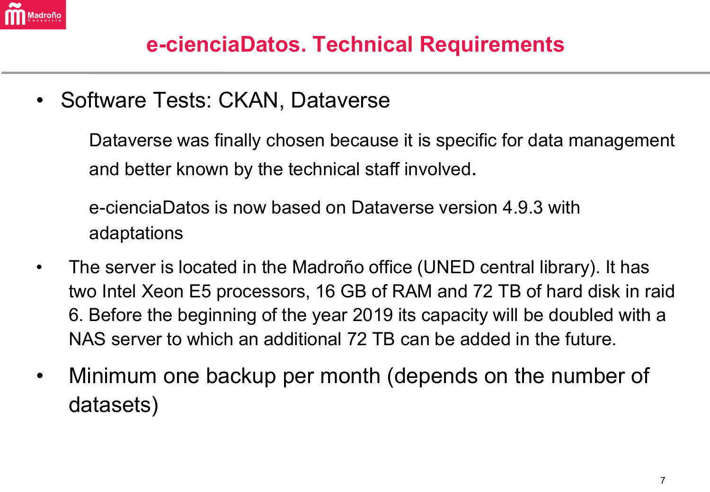

#### **e-cienciaDatos. Technical Requirements**

• Software Tests: CKAN, Dataverse

Dataverse was finally chosen because it is specific for data management and better known by the technical staff involved.

e-cienciaDatos is now based on Dataverse version 4.9.3 with adaptations

- The server is located in the Madroño office (UNED central library). It has two Intel Xeon E5 processors, 16 GB of RAM and 72 TB of hard disk in raid 6. Before the beginning of the year 2019 its capacity will be doubled with a NAS server to which an additional 72 TB can be added in the future.
- Minimum one backup per month (depends on the number of datasets)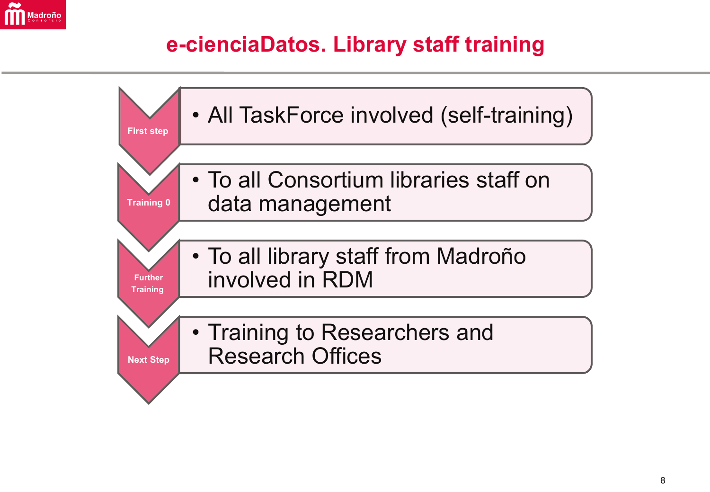

### e-cienciaDatos. Library staff training

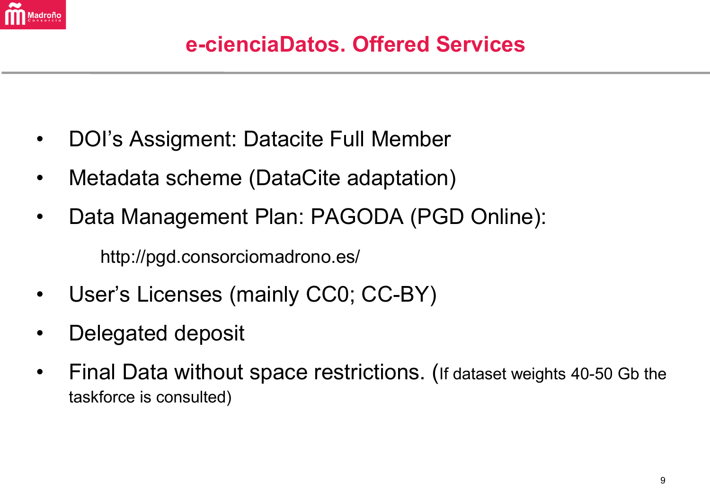

- DOI's Assigment: Datacite Full Member
- Metadata scheme (DataCite adaptation)
- Data Management Plan: PAGODA (PGD Online): http://pgd.consorciomadrono.es/
- User's Licenses (mainly CC0; CC-BY)
- Delegated deposit
- Final Data without space restrictions. (If dataset weights 40-50 Gb the taskforce is consulted)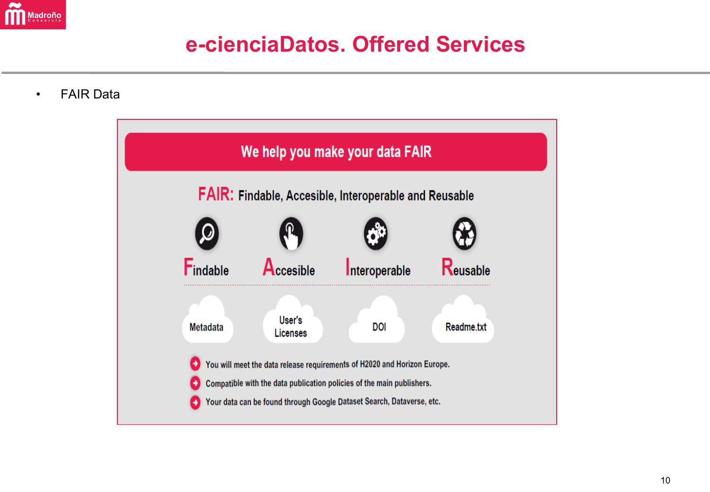

#### e-cienciaDatos, Offered Services

**FAIR Data** 

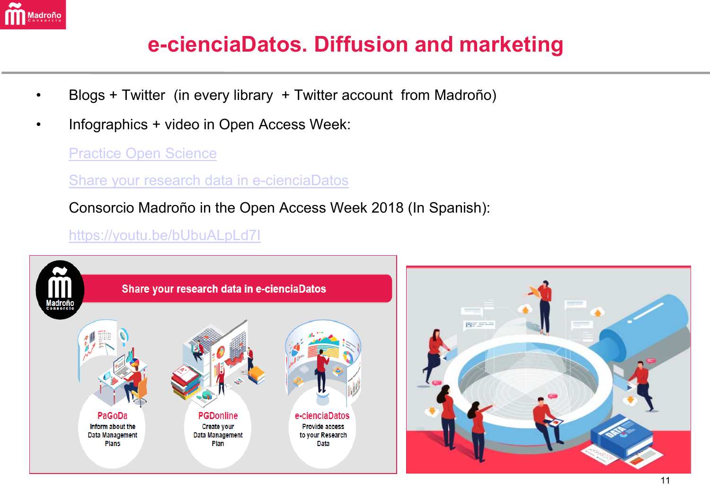

## **e-cienciaDatos. Diffusion and marketing**

- Blogs + Twitter (in every library + Twitter account from Madroño)
- Infographics + video in Open Access Week:

[Practice Open Science](http://www.consorciomadrono.es/wp-content/uploads/2018/12/INFOGRAFIA_ingles_2018_04_parte_01.pdf)

[Share your research data in e-cienciaDatos](http://www.consorciomadrono.es/wp-content/uploads/2018/12/INFOGRAFIA_ingles_2018_04_parte_02.pdf)

Consorcio Madroño in the Open Access Week 2018 (In Spanish):

#### <https://youtu.be/bUbuALpLd7I>

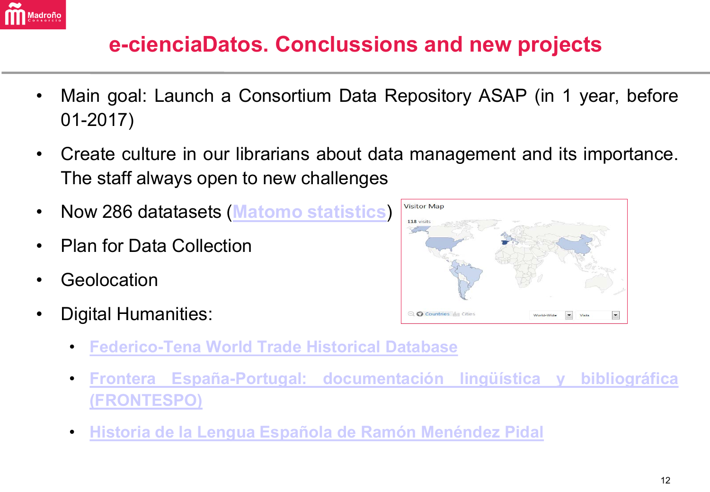

## **e-cienciaDatos. Conclussions and new projects**

- Main goal: Launch a Consortium Data Repository ASAP (in 1 year, before 01-2017)
- Create culture in our librarians about data management and its importance. The staff always open to new challenges
- Now 286 datatasets (**Matomo [statistics](https://piwik.consorciomadrono.es/piwik/index.php?module=CoreHome&action=index&idSite=1&period=range&date=last7&updated=2#?idSite=1&period=month&date=2018-11-30&category=Dashboard_Dashboard&subcategory=1)**)
- Plan for Data Collection
- **Geolocation**
- Digital Humanities:
- **Visitor Map** 118 visits Q Countries du Cities AhiW-hinoW
- **[Federico-Tena](https://edatos.consorciomadrono.es/dataverse/federico-tena) World Trade Historical Database**
- **Frontera [España-Portugal: documentación](https://edatos.consorciomadrono.es/dataverse/FRONTESPO) lingüística y bibliográfica [\(FRONTESPO\)](https://edatos.consorciomadrono.es/dataverse/FRONTESPO)**
- **Historia de la Lengua Española de Ramón [Menéndez](https://edatos.consorciomadrono.es/dataverse/RMP) Pidal**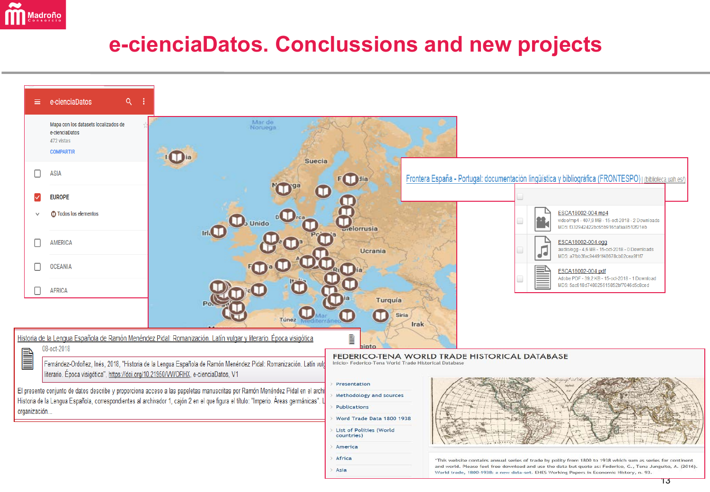

### e-cienciaDatos. Conclussions and new projects